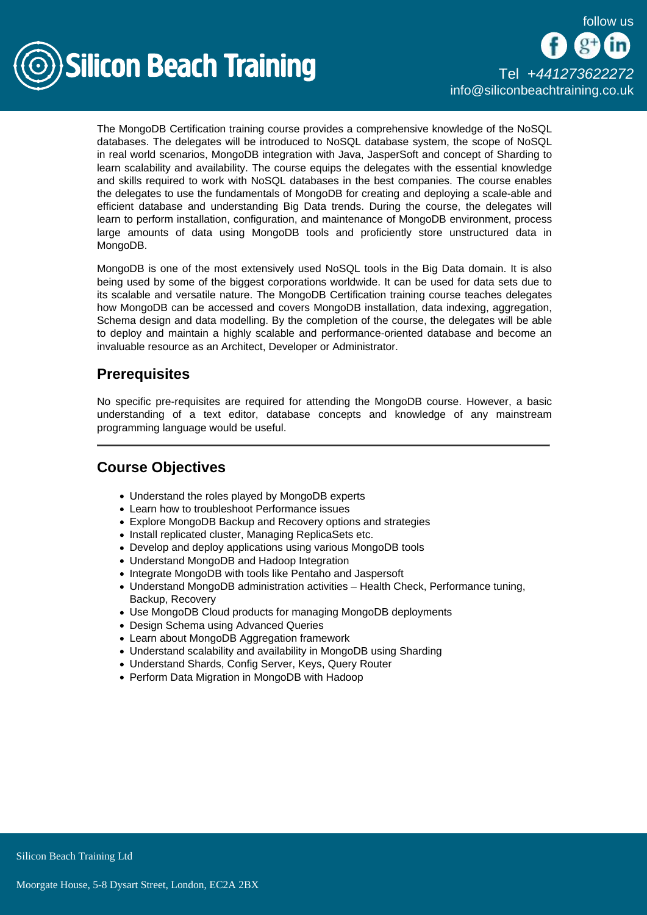follow us



The MongoDB Certification training course provides a comprehensive knowledge of the NoSQL databases. The delegates will be introduced to NoSQL database system, the scope of NoSQL in real world scenarios, MongoDB integration with Java, JasperSoft and concept of Sharding to learn scalability and availability. The course equips the delegates with the essential knowledge and skills required to work with NoSQL databases in the best companies. The course enables the delegates to use the fundamentals of MongoDB for creating and deploying a scale-able and efficient database and understanding Big Data trends. During the course, the delegates will learn to perform installation, configuration, and maintenance of MongoDB environment, process large amounts of data using MongoDB tools and proficiently store unstructured data in MongoDB.

MongoDB is one of the most extensively used NoSQL tools in the Big Data domain. It is also being used by some of the biggest corporations worldwide. It can be used for data sets due to its scalable and versatile nature. The MongoDB Certification training course teaches delegates how MongoDB can be accessed and covers MongoDB installation, data indexing, aggregation, Schema design and data modelling. By the completion of the course, the delegates will be able to deploy and maintain a highly scalable and performance-oriented database and become an invaluable resource as an Architect, Developer or Administrator.

## **Prerequisites**

No specific pre-requisites are required for attending the MongoDB course. However, a basic understanding of a text editor, database concepts and knowledge of any mainstream programming language would be useful.

# Course Objectives

- Understand the roles played by MongoDB experts
- Learn how to troubleshoot Performance issues
- Explore MongoDB Backup and Recovery options and strategies
- Install replicated cluster, Managing ReplicaSets etc.
- Develop and deploy applications using various MongoDB tools
- Understand MongoDB and Hadoop Integration
- Integrate MongoDB with tools like Pentaho and Jaspersoft
- Understand MongoDB administration activities Health Check, Performance tuning, Backup, Recovery
- Use MongoDB Cloud products for managing MongoDB deployments
- Design Schema using Advanced Queries
- Learn about MongoDB Aggregation framework
- Understand scalability and availability in MongoDB using Sharding
- Understand Shards, Config Server, Keys, Query Router
- Perform Data Migration in MongoDB with Hadoop